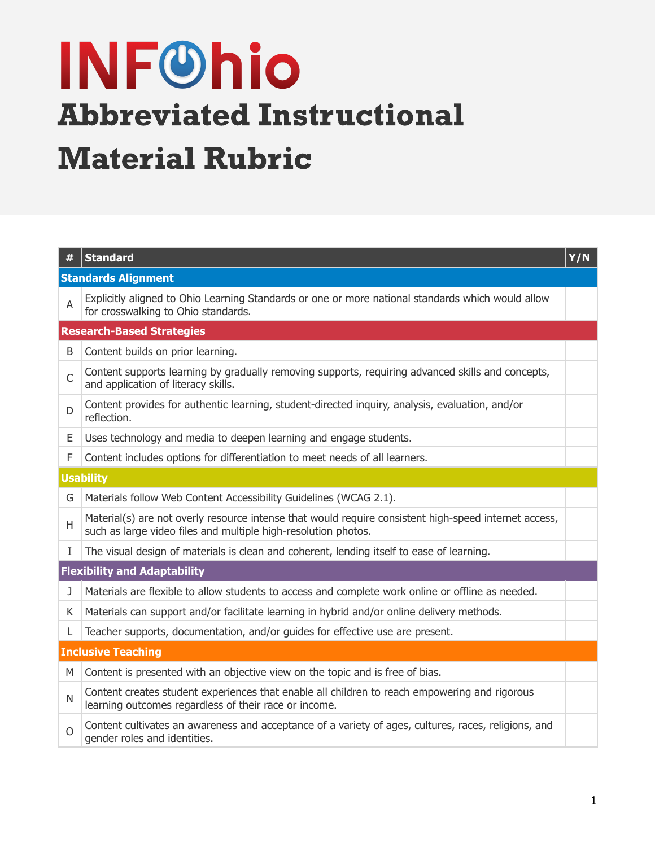# **INFOhio** Abbreviated Instructional Material Rubric

| #                                   | <b>Standard</b>                                                                                                                                                         | Y/N |
|-------------------------------------|-------------------------------------------------------------------------------------------------------------------------------------------------------------------------|-----|
| <b>Standards Alignment</b>          |                                                                                                                                                                         |     |
| A                                   | Explicitly aligned to Ohio Learning Standards or one or more national standards which would allow<br>for crosswalking to Ohio standards.                                |     |
| <b>Research-Based Strategies</b>    |                                                                                                                                                                         |     |
| B                                   | Content builds on prior learning.                                                                                                                                       |     |
| $\mathsf{C}$                        | Content supports learning by gradually removing supports, requiring advanced skills and concepts,<br>and application of literacy skills.                                |     |
| D                                   | Content provides for authentic learning, student-directed inquiry, analysis, evaluation, and/or<br>reflection.                                                          |     |
| E                                   | Uses technology and media to deepen learning and engage students.                                                                                                       |     |
| F                                   | Content includes options for differentiation to meet needs of all learners.                                                                                             |     |
| <b>Usability</b>                    |                                                                                                                                                                         |     |
| G                                   | Materials follow Web Content Accessibility Guidelines (WCAG 2.1).                                                                                                       |     |
| H                                   | Material(s) are not overly resource intense that would require consistent high-speed internet access,<br>such as large video files and multiple high-resolution photos. |     |
| L                                   | The visual design of materials is clean and coherent, lending itself to ease of learning.                                                                               |     |
| <b>Flexibility and Adaptability</b> |                                                                                                                                                                         |     |
| J                                   | Materials are flexible to allow students to access and complete work online or offline as needed.                                                                       |     |
| K.                                  | Materials can support and/or facilitate learning in hybrid and/or online delivery methods.                                                                              |     |
| L.                                  | Teacher supports, documentation, and/or guides for effective use are present.                                                                                           |     |
| <b>Inclusive Teaching</b>           |                                                                                                                                                                         |     |
| M                                   | Content is presented with an objective view on the topic and is free of bias.                                                                                           |     |
| N                                   | Content creates student experiences that enable all children to reach empowering and rigorous<br>learning outcomes regardless of their race or income.                  |     |
| $\Omega$                            | Content cultivates an awareness and acceptance of a variety of ages, cultures, races, religions, and<br>gender roles and identities.                                    |     |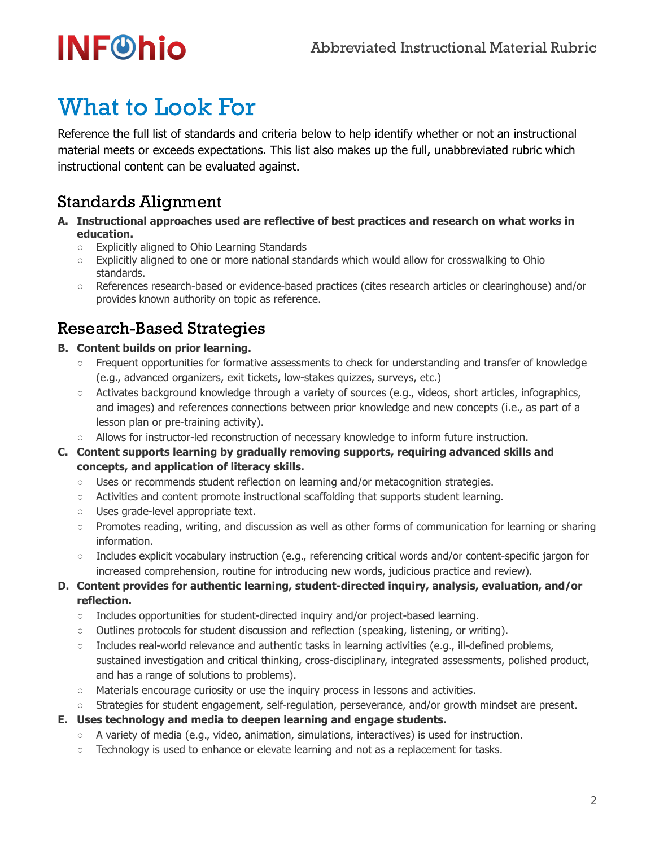## **INF®hio**

### What to Look For

Reference the full list of standards and criteria below to help identify whether or not an instructional material meets or exceeds expectations. This list also makes up the full, unabbreviated rubric which instructional content can be evaluated against.

### Standards Alignment

- **A. Instructional approaches used are reflective of best practices and research on what works in education.**
	- Explicitly aligned to Ohio Learning Standards
	- Explicitly aligned to one or more national standards which would allow for crosswalking to Ohio standards.
	- References research-based or evidence-based practices (cites research articles or clearinghouse) and/or provides known authority on topic as reference.

### Research-Based Strategies

- **B. Content builds on prior learning.**
	- Frequent opportunities for formative assessments to check for understanding and transfer of knowledge (e.g., advanced organizers, exit tickets, low-stakes quizzes, surveys, etc.)
	- Activates background knowledge through a variety of sources (e.g., videos, short articles, infographics, and images) and references connections between prior knowledge and new concepts (i.e., as part of a lesson plan or pre-training activity).
	- Allows for instructor-led reconstruction of necessary knowledge to inform future instruction.
- **C. Content supports learning by gradually removing supports, requiring advanced skills and concepts, and application of literacy skills.**
	- Uses or recommends student reflection on learning and/or metacognition strategies.
	- Activities and content promote instructional scaffolding that supports student learning.
	- Uses grade-level appropriate text.
	- Promotes reading, writing, and discussion as well as other forms of communication for learning or sharing information.
	- Includes explicit vocabulary instruction (e.g., referencing critical words and/or content-specific jargon for increased comprehension, routine for introducing new words, judicious practice and review).

#### **D. Content provides for authentic learning, student-directed inquiry, analysis, evaluation, and/or reflection.**

- $\circ$  Includes opportunities for student-directed inquiry and/or project-based learning.
- Outlines protocols for student discussion and reflection (speaking, listening, or writing).
- $\circ$  Includes real-world relevance and authentic tasks in learning activities (e.g., ill-defined problems, sustained investigation and critical thinking, cross-disciplinary, integrated assessments, polished product, and has a range of solutions to problems).
- Materials encourage curiosity or use the inquiry process in lessons and activities.
- Strategies for student engagement, self-regulation, perseverance, and/or growth mindset are present.
- **E. Uses technology and media to deepen learning and engage students.**
	- A variety of media (e.g., video, animation, simulations, interactives) is used for instruction.
	- Technology is used to enhance or elevate learning and not as a replacement for tasks.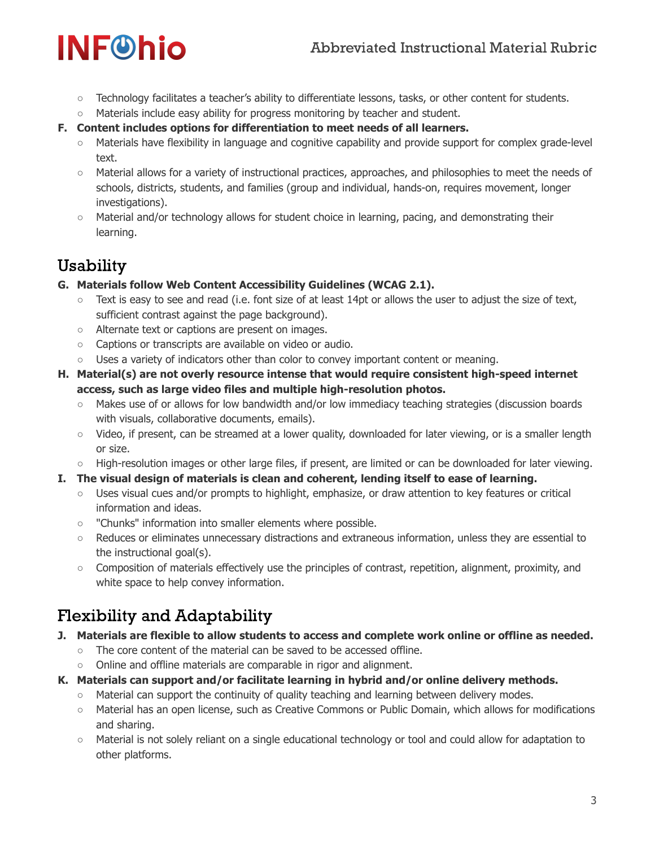#### Abbreviated Instructional Material Rubric

## **INF®hio**

- Technology facilitates a teacher's ability to differentiate lessons, tasks, or other content for students.
- $\circ$  Materials include easy ability for progress monitoring by teacher and student.
- **F. Content includes options for differentiation to meet needs of all learners.**
	- Materials have flexibility in language and cognitive capability and provide support for complex grade-level text.
	- Material allows for a variety of instructional practices, approaches, and philosophies to meet the needs of schools, districts, students, and families (group and individual, hands-on, requires movement, longer investigations).
	- Material and/or technology allows for student choice in learning, pacing, and demonstrating their learning.

### Usability

- **G. Materials follow Web Content Accessibility Guidelines (WCAG 2.1).**
	- Text is easy to see and read (i.e. font size of at least 14pt or allows the user to adjust the size of text, sufficient contrast against the page background).
	- Alternate text or captions are present on images.
	- Captions or transcripts are available on video or audio.
	- Uses a variety of indicators other than color to convey important content or meaning.
- **H. Material(s) are not overly resource intense that would require consistent high-speed internet access, such as large video files and multiple high-resolution photos.**
	- Makes use of or allows for low bandwidth and/or low immediacy teaching strategies (discussion boards with visuals, collaborative documents, emails).
	- Video, if present, can be streamed at a lower quality, downloaded for later viewing, or is a smaller length or size.
	- High-resolution images or other large files, if present, are limited or can be downloaded for later viewing.
- **I. The visual design of materials is clean and coherent, lending itself to ease of learning.**
	- Uses visual cues and/or prompts to highlight, emphasize, or draw attention to key features or critical information and ideas.
	- "Chunks" information into smaller elements where possible.
	- Reduces or eliminates unnecessary distractions and extraneous information, unless they are essential to the instructional goal(s).
	- Composition of materials effectively use the principles of contrast, repetition, alignment, proximity, and white space to help convey information.

### Flexibility and Adaptability

- **J. Materials are flexible to allow students to access and complete work online or offline as needed.**
	- The core content of the material can be saved to be accessed offline.
	- Online and offline materials are comparable in rigor and alignment.
- **K. Materials can support and/or facilitate learning in hybrid and/or online delivery methods.**
	- $\circ$  Material can support the continuity of quality teaching and learning between delivery modes.
	- Material has an open license, such as Creative Commons or Public Domain, which allows for modifications and sharing.
	- Material is not solely reliant on a single educational technology or tool and could allow for adaptation to other platforms.